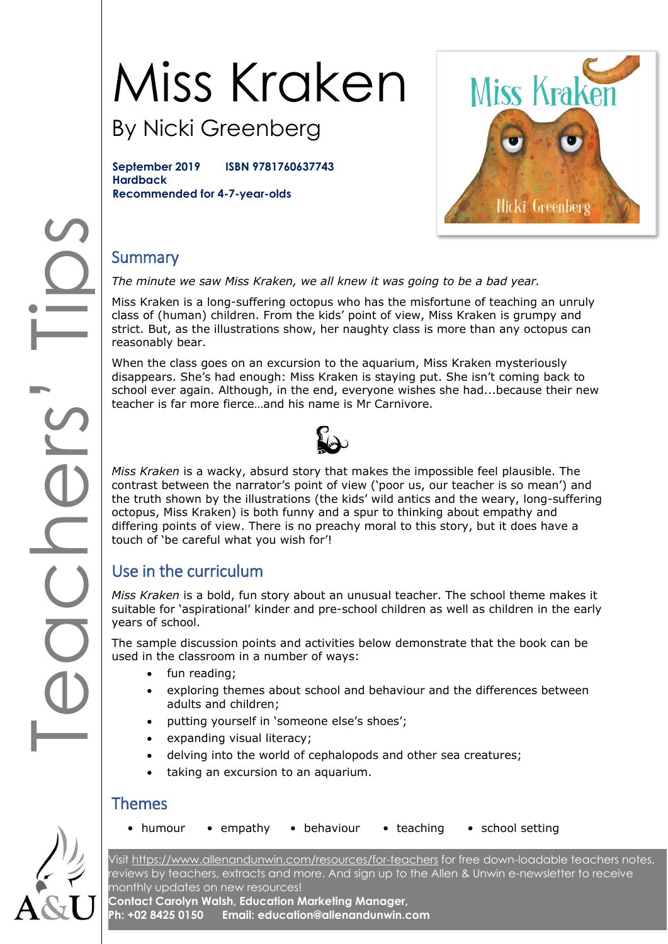# Miss Kraken

By Nicki Greenberg

**September 2019 ISBN 9781760637743 Hardback Recommended for 4-7-year-olds**



## **Summary**

*The minute we saw Miss Kraken, we all knew it was going to be a bad year.*

Miss Kraken is a long-suffering octopus who has the misfortune of teaching an unruly class of (human) children. From the kids' point of view, Miss Kraken is grumpy and strict. But, as the illustrations show, her naughty class is more than any octopus can reasonably bear.

When the class goes on an excursion to the aquarium, Miss Kraken mysteriously disappears. She's had enough: Miss Kraken is staying put. She isn't coming back to school ever again. Although, in the end, everyone wishes she had...because their new teacher is far more fierce…and his name is Mr Carnivore.



*Miss Kraken* is a wacky, absurd story that makes the impossible feel plausible. The contrast between the narrator's point of view ('poor us, our teacher is so mean') and the truth shown by the illustrations (the kids' wild antics and the weary, long-suffering octopus, Miss Kraken) is both funny and a spur to thinking about empathy and differing points of view. There is no preachy moral to this story, but it does have a touch of 'be careful what you wish for'!

## Use in the curriculum

*Miss Kraken* is a bold, fun story about an unusual teacher. The school theme makes it suitable for 'aspirational' kinder and pre-school children as well as children in the early years of school.

The sample discussion points and activities below demonstrate that the book can be used in the classroom in a number of ways:

- fun reading;
- exploring themes about school and behaviour and the differences between adults and children;
- putting yourself in 'someone else's shoes';
- expanding visual literacy;
- delving into the world of cephalopods and other sea creatures;
- taking an excursion to an aquarium.

#### Themes

- 
- humour empathy behaviour teaching school setting

Visit<https://www.allenandunwin.com/resources/for-teachers> for free down-loadable teachers notes, reviews by teachers, extracts and more. And sign up to the Allen & Unwin e-newsletter to receive monthly updates on new resources! **Contact Carolyn Walsh, Education Marketing Manager,** 

**Ph: +02 8425 0150 Email: education@allenandunwin.com**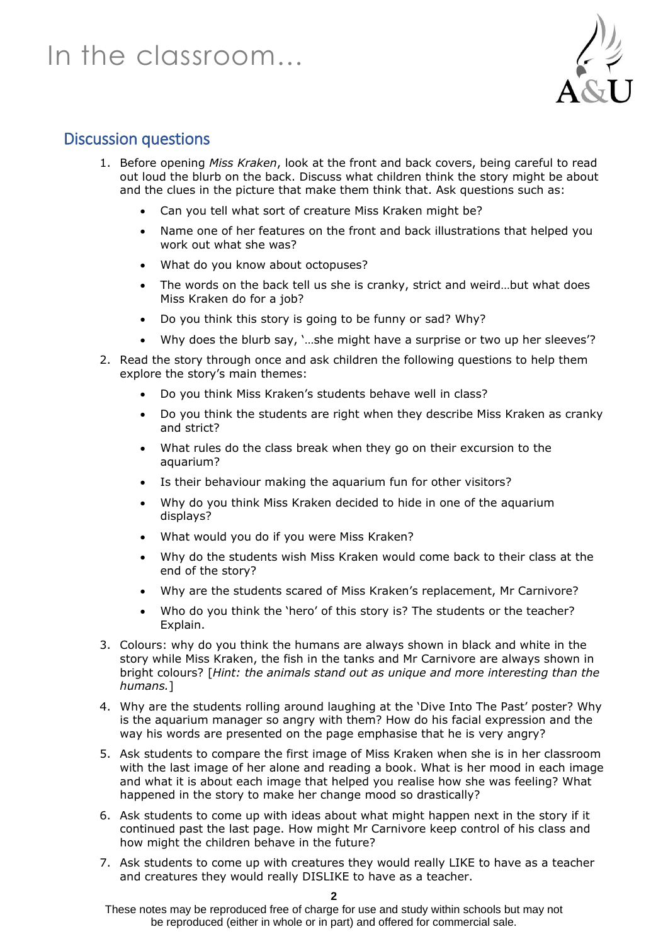## In the classroom…



### Discussion questions

- 1. Before opening *Miss Kraken*, look at the front and back covers, being careful to read out loud the blurb on the back. Discuss what children think the story might be about and the clues in the picture that make them think that. Ask questions such as:
	- Can you tell what sort of creature Miss Kraken might be?
	- Name one of her features on the front and back illustrations that helped you work out what she was?
	- What do you know about octopuses?
	- The words on the back tell us she is cranky, strict and weird…but what does Miss Kraken do for a job?
	- Do you think this story is going to be funny or sad? Why?
	- Why does the blurb say, '…she might have a surprise or two up her sleeves'?
- 2. Read the story through once and ask children the following questions to help them explore the story's main themes:
	- Do you think Miss Kraken's students behave well in class?
	- Do you think the students are right when they describe Miss Kraken as cranky and strict?
	- What rules do the class break when they go on their excursion to the aquarium?
	- Is their behaviour making the aquarium fun for other visitors?
	- Why do you think Miss Kraken decided to hide in one of the aquarium displays?
	- What would you do if you were Miss Kraken?
	- Why do the students wish Miss Kraken would come back to their class at the end of the story?
	- Why are the students scared of Miss Kraken's replacement, Mr Carnivore?
	- Who do you think the 'hero' of this story is? The students or the teacher? Explain.
- 3. Colours: why do you think the humans are always shown in black and white in the story while Miss Kraken, the fish in the tanks and Mr Carnivore are always shown in bright colours? [*Hint: the animals stand out as unique and more interesting than the humans.*]
- 4. Why are the students rolling around laughing at the 'Dive Into The Past' poster? Why is the aquarium manager so angry with them? How do his facial expression and the way his words are presented on the page emphasise that he is very angry?
- 5. Ask students to compare the first image of Miss Kraken when she is in her classroom with the last image of her alone and reading a book. What is her mood in each image and what it is about each image that helped you realise how she was feeling? What happened in the story to make her change mood so drastically?
- 6. Ask students to come up with ideas about what might happen next in the story if it continued past the last page. How might Mr Carnivore keep control of his class and how might the children behave in the future?
- 7. Ask students to come up with creatures they would really LIKE to have as a teacher and creatures they would really DISLIKE to have as a teacher.

**2**

These notes may be reproduced free of charge for use and study within schools but may not be reproduced (either in whole or in part) and offered for commercial sale.